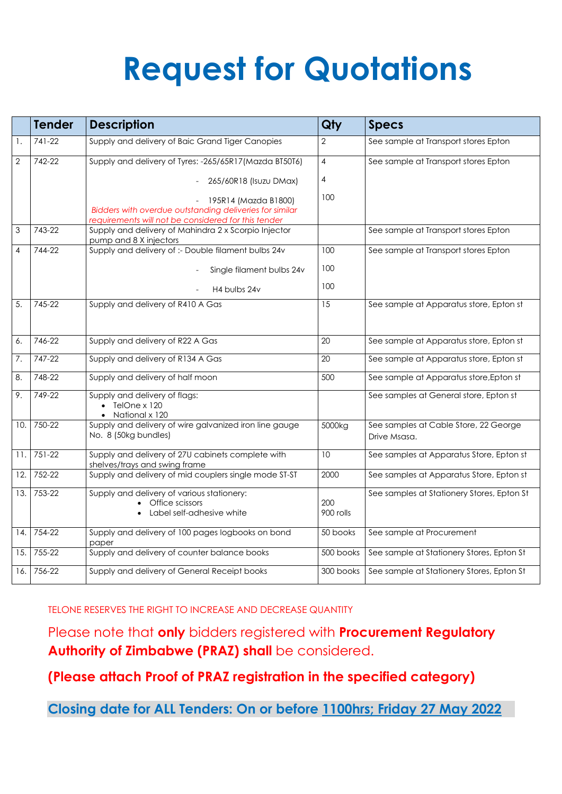## **Request for Quotations**

|                | Tender     | <b>Description</b>                                                                                                                     | Qty              | <b>Specs</b>                                          |
|----------------|------------|----------------------------------------------------------------------------------------------------------------------------------------|------------------|-------------------------------------------------------|
| 1.             | 741-22     | Supply and delivery of Baic Grand Tiger Canopies                                                                                       | 2                | See sample at Transport stores Epton                  |
| $\overline{2}$ | 742-22     | Supply and delivery of Tyres: -265/65R17(Mazda BT50T6)                                                                                 | $\overline{4}$   | See sample at Transport stores Epton                  |
|                |            | 265/60R18 (Isuzu DMax)                                                                                                                 | 4                |                                                       |
|                |            | 195R14 (Mazda B1800)<br>Bidders with overdue outstanding deliveries for similar<br>requirements will not be considered for this tender | 100              |                                                       |
| $\mathfrak{S}$ | 743-22     | Supply and delivery of Mahindra 2 x Scorpio Injector<br>pump and 8 X injectors                                                         |                  | See sample at Transport stores Epton                  |
| 4              | 744-22     | Supply and delivery of :- Double filament bulbs 24v                                                                                    | 100              | See sample at Transport stores Epton                  |
|                |            | Single filament bulbs 24v                                                                                                              | 100              |                                                       |
|                |            | H4 bulbs 24v                                                                                                                           | 100              |                                                       |
| 5.             | 745-22     | Supply and delivery of R410 A Gas                                                                                                      | 15               | See sample at Apparatus store, Epton st               |
| 6.             | 746-22     | Supply and delivery of R22 A Gas                                                                                                       | 20               | See sample at Apparatus store, Epton st               |
| 7.             | 747-22     | Supply and delivery of R134 A Gas                                                                                                      | 20               | See sample at Apparatus store, Epton st               |
| 8.             | 748-22     | Supply and delivery of half moon                                                                                                       | 500              | See sample at Apparatus store, Epton st               |
| 9.             | 749-22     | Supply and delivery of flags:<br>TelOne x 120<br>National x 120                                                                        |                  | See samples at General store, Epton st                |
| 10.            | 750-22     | Supply and delivery of wire galvanized iron line gauge<br>No. 8 (50kg bundles)                                                         | 5000kg           | See samples at Cable Store, 22 George<br>Drive Msasa. |
| 11.            | $751 - 22$ | Supply and delivery of 27U cabinets complete with<br>shelves/trays and swing frame                                                     | 10               | See samples at Apparatus Store, Epton st              |
| 12.            | 752-22     | Supply and delivery of mid couplers single mode ST-ST                                                                                  | 2000             | See samples at Apparatus Store, Epton st              |
| 13.            | 753-22     | Supply and delivery of various stationery:<br>Office scissors<br>Label self-adhesive white                                             | 200<br>900 rolls | See samples at Stationery Stores, Epton St            |
| 14.            | 754-22     | Supply and delivery of 100 pages logbooks on bond<br>paper                                                                             | 50 books         | See sample at Procurement                             |
| 15.            | 755-22     | Supply and delivery of counter balance books                                                                                           | 500 books        | See sample at Stationery Stores, Epton St.            |
| 16.            | 756-22     | Supply and delivery of General Receipt books                                                                                           | 300 books        | See sample at Stationery Stores, Epton St             |

TELONE RESERVES THE RIGHT TO INCREASE AND DECREASE QUANTITY

Please note that **only** bidders registered with **Procurement Regulatory Authority of Zimbabwe (PRAZ) shall** be considered.

**(Please attach Proof of PRAZ registration in the specified category)**

**Closing date for ALL Tenders: On or before 1100hrs; Friday 27 May 2022**